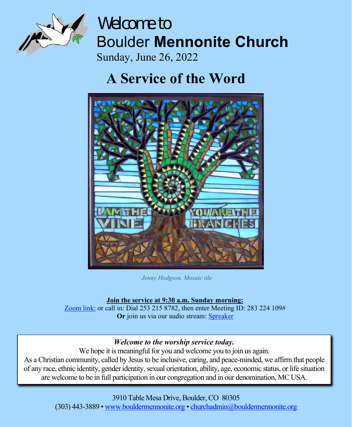

Welcome to Boulder **Mennonite Church** Sunday, June 26, 2022

# **A Service of the Word**



*Jenny Hodgson, Mosaic tile*

#### **Join the service at 9:30 a.m. Sunday morning:**

[Zoom link:](https://zoom.us/j/283224109) or call in: Dial 253 215 8782, then enter Meeting ID: 283 224 109# **Or** join us via our audio stream: Spreaker

#### *Welcome to the worship service today.*

We hope it is meaningful for you and welcome you to join us again. As a Christian community, called by Jesus to be inclusive, caring, and peace-minded, we affirm that people of any race, ethnic identity, gender identity, sexual orientation, ability, age, economic status, or life situation are welcome to be in full participation in our congregation and in our denomination, MC USA.

> 3910 Table Mesa Drive, Boulder, CO 80305 (303) 443-3889 [• www.bouldermennonite.org](http://www.bouldermennonite.org/) • [churchadmin@bouldermennonite.org](mailto:info@bouldermennonite.org)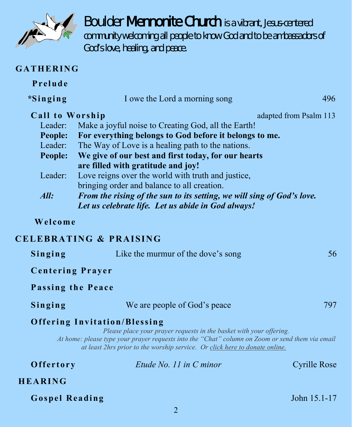

Boulder Mennonite Church is a vibrant, Jesus-centered community welcoming all people to know God and to be ambassadors of God's love, healing, and peace.

#### **GATHERING**

| Prelude         |                                                                        |     |
|-----------------|------------------------------------------------------------------------|-----|
| *Singing        | I owe the Lord a morning song                                          | 496 |
| Call to Worship | adapted from Psalm 113                                                 |     |
| Leader:         | Make a joyful noise to Creating God, all the Earth!                    |     |
| People:         | For everything belongs to God before it belongs to me.                 |     |
| Leader:         | The Way of Love is a healing path to the nations.                      |     |
| People:         | We give of our best and first today, for our hearts                    |     |
|                 | are filled with gratitude and joy!                                     |     |
| Leader:         | Love reigns over the world with truth and justice,                     |     |
|                 | bringing order and balance to all creation.                            |     |
| All:            | From the rising of the sun to its setting, we will sing of God's love. |     |
|                 | Let us celebrate life. Let us abide in God always!                     |     |
| Welcome         |                                                                        |     |
|                 | <b>CELEBRATING &amp; PRAISING</b>                                      |     |
| Singing         | Like the murmur of the dove's song                                     | 56  |

#### **Centering Prayer**

**Passing the Peace**

| <b>Singing</b> | We are people of God's peace | 797 ' |
|----------------|------------------------------|-------|
|                |                              |       |

#### **Offering Invitation/Blessing**

*Please place your prayer requests in the basket with your offering. At home: please type your prayer requests into the "Chat" column on Zoom or send them via email at least 2hrs prior to the worship service. Or [click here to donate online.](https://bouldermennonite.org/donate/)*

| Offertory             | Etude No. 11 in C minor | <b>Cyrille Rose</b> |
|-----------------------|-------------------------|---------------------|
| <b>HEARING</b>        |                         |                     |
| <b>Gospel Reading</b> |                         | John 15.1-17        |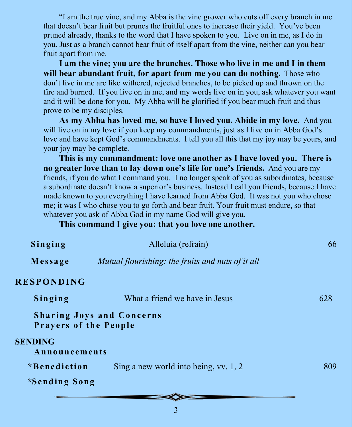"I am the true vine, and my Abba is the vine grower who cuts off every branch in me that doesn't bear fruit but prunes the fruitful ones to increase their yield. You've been pruned already, thanks to the word that I have spoken to you. Live on in me, as I do in you. Just as a branch cannot bear fruit of itself apart from the vine, neither can you bear fruit apart from me.

**I am the vine; you are the branches. Those who live in me and I in them will bear abundant fruit, for apart from me you can do nothing.** Those who don't live in me are like withered, rejected branches, to be picked up and thrown on the fire and burned. If you live on in me, and my words live on in you, ask whatever you want and it will be done for you. My Abba will be glorified if you bear much fruit and thus prove to be my disciples.

**As my Abba has loved me, so have I loved you. Abide in my love.** And you will live on in my love if you keep my commandments, just as I live on in Abba God's love and have kept God's commandments. I tell you all this that my joy may be yours, and your joy may be complete.

**This is my commandment: love one another as I have loved you. There is no greater love than to lay down one's life for one's friends.** And you are my friends, if you do what I command you. I no longer speak of you as subordinates, because a subordinate doesn't know a superior's business. Instead I call you friends, because I have made known to you everything I have learned from Abba God. It was not you who chose me; it was I who chose you to go forth and bear fruit. Your fruit must endure, so that whatever you ask of Abba God in my name God will give you.

**This command I give you: that you love one another.**

| Singing                         | Alleluia (refrain)                                | 66  |
|---------------------------------|---------------------------------------------------|-----|
| Message                         | Mutual flourishing: the fruits and nuts of it all |     |
| <b>RESPONDING</b>               |                                                   |     |
| Singing                         | What a friend we have in Jesus                    | 628 |
| <b>Prayers of the People</b>    | <b>Sharing Joys and Concerns</b>                  |     |
| <b>SENDING</b><br>Announcements |                                                   |     |
| *Benediction                    | Sing a new world into being, vv. 1, 2             | 809 |
| *Sending Song                   |                                                   |     |
|                                 |                                                   |     |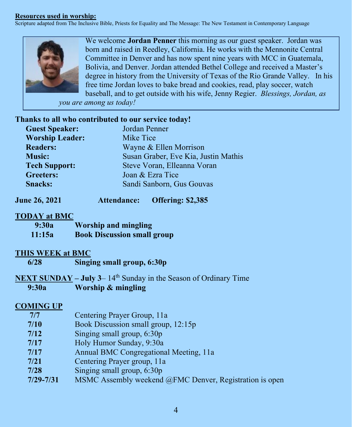#### **Resources used in worship:**

Scripture adapted from The Inclusive Bible, Priests for Equality and The Message: The New Testament in Contemporary Language



We welcome **Jordan Penner** this morning as our guest speaker. Jordan was born and raised in Reedley, California. He works with the Mennonite Central Committee in Denver and has now spent nine years with MCC in Guatemala, Bolivia, and Denver. Jordan attended Bethel College and received a Master's degree in history from the University of Texas of the Rio Grande Valley. In his free time Jordan loves to bake bread and cookies, read, play soccer, watch baseball, and to get outside with his wife, Jenny Regier. *Blessings, Jordan, as* 

*you are among us today!*

#### **Thanks to all who contributed to our service today!**

| <b>Guest Speaker:</b>  | Jordan Penner                        |
|------------------------|--------------------------------------|
| <b>Worship Leader:</b> | Mike Tice                            |
| <b>Readers:</b>        | Wayne & Ellen Morrison               |
| <b>Music:</b>          | Susan Graber, Eve Kia, Justin Mathis |
| <b>Tech Support:</b>   | Steve Voran, Elleanna Voran          |
| <b>Greeters:</b>       | Joan & Ezra Tice                     |
| <b>Snacks:</b>         | Sandi Sanborn, Gus Gouvas            |

**June 26, 2021 Attendance: Offering: \$2,385** 

#### **TODAY at BMC**

| 9:30a  | <b>Worship and mingling</b>        |
|--------|------------------------------------|
| 11:15a | <b>Book Discussion small group</b> |

#### **THIS WEEK at BMC**

| 6/28 | Singing small group, 6:30p |  |
|------|----------------------------|--|
|------|----------------------------|--|

#### **NEXT SUNDAY – July 3–**  $14<sup>th</sup>$  Sunday in the Season of Ordinary Time  **9:30a Worship & mingling**

#### **COMING UP**

| 7/7<br>Centering Prayer Group, 11a |  |  |
|------------------------------------|--|--|
|------------------------------------|--|--|

- **7/10** Book Discussion small group, 12:15p
- **7/12** Singing small group, 6:30p
- **7/17** Holy Humor Sunday, 9:30a
- **7/17** Annual BMC Congregational Meeting, 11a
- **7/21** Centering Prayer group, 11a
- **7/28** Singing small group, 6:30p
- **7/29-7/31** MSMC Assembly weekend @FMC Denver, Registration is open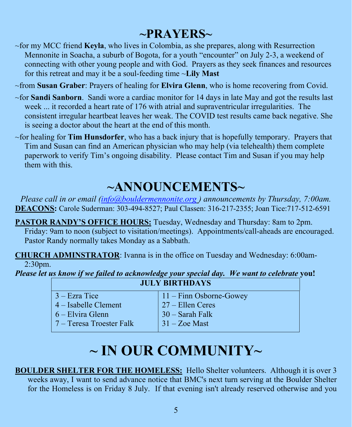## **~PRAYERS~**

- ~for my MCC friend **Keyla**, who lives in Colombia, as she prepares, along with Resurrection Mennonite in Soacha, a suburb of Bogota, for a youth "encounter" on July 2-3, a weekend of connecting with other young people and with God. Prayers as they seek finances and resources for this retreat and may it be a soul-feeding time ~**Lily Mast**
- ~from **Susan Graber**: Prayers of healing for **Elvira Glenn**, who is home recovering from Covid.
- ~for **Sandi Sanborn**. Sandi wore a cardiac monitor for 14 days in late May and got the results last week ... it recorded a heart rate of 176 with atrial and supraventricular irregularities. The consistent irregular heartbeat leaves her weak. The COVID test results came back negative. She is seeing a doctor about the heart at the end of this month.
- ~for healing for **Tim Hunsdorfer**, who has a back injury that is hopefully temporary. Prayers that Tim and Susan can find an American physician who may help (via telehealth) them complete paperwork to verify Tim's ongoing disability. Please contact Tim and Susan if you may help them with this.

## **~ANNOUNCEMENTS~**

*Please call in or email [\(info@bouldermennonite.org](mailto:info@bouldermennonite.org) ) announcements by Thursday, 7:00am.*  **DEACONS:** Carole Suderman: 303-494-8527; Paul Classen: 316-217-2355; Joan Tice:717-512-6591

PASTOR RANDY'S OFFICE HOURS: Tuesday, Wednesday and Thursday: 8am to 2pm. Friday: 9am to noon (subject to visitation/meetings). Appointments/call-aheads are encouraged. Pastor Randy normally takes Monday as a Sabbath.

**CHURCH ADMINSTRATOR**: Ivanna is in the office on Tuesday and Wednesday: 6:00am-2:30pm.

*Please let us know if we failed to acknowledge your special day. We want to celebrate* **you!**

| <b>JULY BIRTHDAYS</b>    |                           |  |
|--------------------------|---------------------------|--|
| $3 - Exra$ Tice          | $11 -$ Finn Osborne-Gowey |  |
| $4$ – Isabelle Clement   | $27 -$ Ellen Ceres        |  |
| $6 - Elvira Glenn$       | $30 -$ Sarah Falk         |  |
| 7 – Teresa Troester Falk | $31 - Z$ oe Mast          |  |

# **~ IN OUR COMMUNITY~**

**BOULDER SHELTER FOR THE HOMELESS:** Hello Shelter volunteers. Although it is over 3 weeks away, I want to send advance notice that BMC's next turn serving at the Boulder Shelter for the Homeless is on Friday 8 July. If that evening isn't already reserved otherwise and you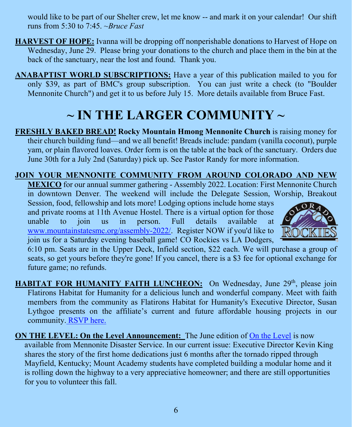would like to be part of our Shelter crew, let me know -- and mark it on your calendar! Our shift runs from 5:30 to 7:45. *~Bruce Fast*

**HARVEST OF HOPE:** Ivanna will be dropping off nonperishable donations to Harvest of Hope on Wednesday, June 29. Please bring your donations to the church and place them in the bin at the back of the sanctuary, near the lost and found. Thank you.

**ANABAPTIST WORLD SUBSCRIPTIONS:** Have a year of this publication mailed to you for only \$39, as part of BMC's group subscription. You can just write a check (to "Boulder Mennonite Church") and get it to us before July 15. More details available from Bruce Fast.

## **~ IN THE LARGER COMMUNITY ~**

**FRESHLY BAKED BREAD! Rocky Mountain Hmong Mennonite Church** is raising money for their church building fund—and we all benefit! Breads include: pandam (vanilla coconut), purple yam, or plain flavored loaves. Order form is on the table at the back of the sanctuary. Orders due June 30th for a July 2nd (Saturday) pick up. See Pastor Randy for more information.

#### **JOIN YOUR MENNONITE COMMUNITY FROM AROUND COLORADO AND NEW**

**MEXICO** for our annual summer gathering - Assembly 2022. Location: First Mennonite Church in downtown Denver. The weekend will include the Delegate Session, Worship, Breakout

Session, food, fellowship and lots more! Lodging options include home stays and private rooms at 11th Avenue Hostel. There is a virtual option for those unable to join us in person. Full details available at [www.mountainstatesmc.org/assembly-2022/.](http://www.mountainstatesmc.org/assembly-2022/) Register NOW if you'd like to join us for a Saturday evening baseball game! CO Rockies vs LA Dodgers,



6:10 pm. Seats are in the Upper Deck, Infield section, \$22 each. We will purchase a group of seats, so get yours before they're gone! If you cancel, there is a \$3 fee for optional exchange for future game; no refunds.

**HABITAT FOR HUMANITY FAITH LUNCHEON:** On Wednesday, June 29<sup>th</sup>, please join Flatirons Habitat for Humanity for a delicious lunch and wonderful company. Meet with faith members from the community as Flatirons Habitat for Humanity's Executive Director, Susan Lythgoe presents on the affiliate's current and future affordable housing projects in our community[. RSVP here.](https://events.r20.constantcontact.com/register/eventReg?oeidk=a07ej8w6hjb5a171b3f&oseq=&c=&ch=)

**ON THE LEVEL: On the Level Announcement:** The June edition of [On the Level](https://myemail.constantcontact.com/On-the-Level---MDS-June-2022.html?soid=1133208989833&aid=Kgd_TLLNr5E) is now available from Mennonite Disaster Service. In our current issue: Executive Director Kevin King shares the story of the first home dedications just 6 months after the tornado ripped through Mayfield, Kentucky; Mount Academy students have completed building a modular home and it is rolling down the highway to a very appreciative homeowner; and there are still opportunities for you to volunteer this fall.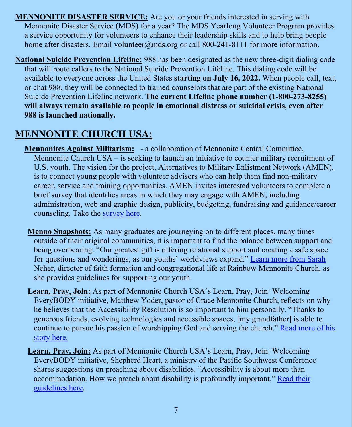- **MENNONITE DISASTER SERVICE:** Are you or your friends interested in serving with Mennonite Disaster Service (MDS) for a year? The MDS Yearlong Volunteer Program provides a service opportunity for volunteers to enhance their leadership skills and to help bring people home after disasters. Email volunteer@mds.org or call 800-241-8111 for more information.
- **National Suicide Prevention Lifeline:** 988 has been designated as the new three-digit dialing code that will route callers to the National Suicide Prevention Lifeline. This dialing code will be available to everyone across the United States **starting on July 16, 2022.** When people call, text, or chat 988, they will be connected to trained counselors that are part of the existing National Suicide Prevention Lifeline network. **The current Lifeline phone number (1-800-273-8255) will always remain available to people in emotional distress or suicidal crisis, even after 988 is launched nationally.**

### **MENNONITE CHURCH USA:**

- **Mennonites Against Militarism:** a collaboration of Mennonite Central Committee, Mennonite Church USA – is seeking to launch an initiative to counter military recruitment of U.S. youth. The vision for the project, Alternatives to Military Enlistment Network (AMEN), is to connect young people with volunteer advisors who can help them find non-military career, service and training opportunities. AMEN invites interested volunteers to complete a brief survey that identifies areas in which they may engage with AMEN, including administration, web and graphic design, publicity, budgeting, fundraising and guidance/career counseling. Take the [survey here.](https://docs.google.com/forms/d/e/1FAIpQLScWRN0_JWOGPSKp0TvgNMOheIUCPmxpHfQom8J3J3lRGyyZ6g/viewform)
- **Menno Snapshots:** As many graduates are journeying on to different places, many times outside of their original communities, it is important to find the balance between support and being overbearing. "Our greatest gift is offering relational support and creating a safe space for questions and wonderings, as our youths' worldviews expand." [Learn more from Sarah](https://www.mennoniteusa.org/menno-snapshots/supporting-graduates-in-their-faith-journey/)  Neher, director of faith formation and congregational life at Rainbow Mennonite Church, as she provides guidelines for supporting our youth.
- **Learn, Pray, Join:** As part of Mennonite Church USA's Learn, Pray, Join: Welcoming EveryBODY initiative, Matthew Yoder, pastor of Grace Mennonite Church, reflects on why he believes that the Accessibility Resolution is so important to him personally. "Thanks to generous friends, evolving technologies and accessible spaces, [my grandfather] is able to continue to pursue his passion of worshipping God and serving the church." [Read more of his](https://www.mennoniteusa.org/menno-snapshots/accessibility-is-key-to-ongoing-faithfulness/)  [story here.](https://www.mennoniteusa.org/menno-snapshots/accessibility-is-key-to-ongoing-faithfulness/)
- **Learn, Pray, Join:** As part of Mennonite Church USA's Learn, Pray, Join: Welcoming EveryBODY initiative, Shepherd Heart, a ministry of the Pacific Southwest Conference shares suggestions on preaching about disabilities. "Accessibility is about more than accommodation. How we preach about disability is profoundly important." [Read their](https://www.mennoniteusa.org/menno-snapshots/when-preaching-on-disability/)  [guidelines here.](https://www.mennoniteusa.org/menno-snapshots/when-preaching-on-disability/)